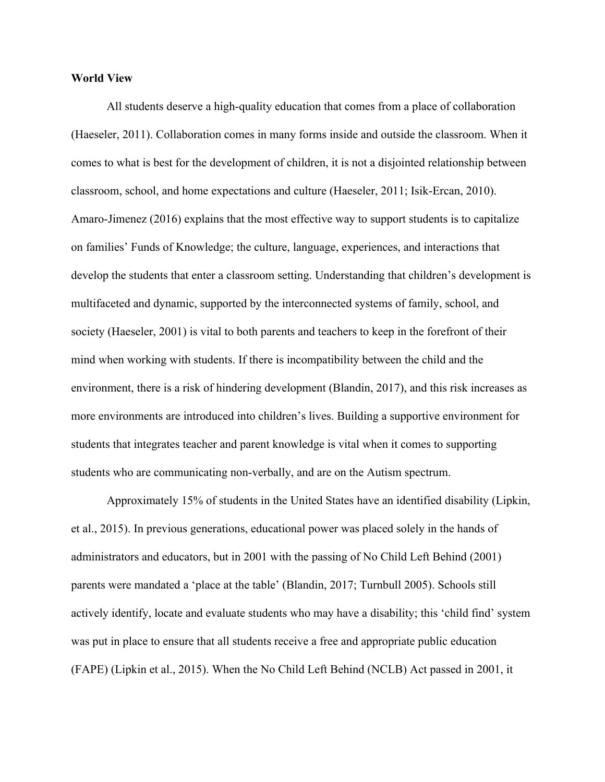#### **World View**

All students deserve a high-quality education that comes from a place of collaboration (Haeseler, 2011). Collaboration comes in many forms inside and outside the classroom. When it comes to what is best for the development of children, it is not a disjointed relationship between classroom, school, and home expectations and culture (Haeseler, 2011; Isik-Ercan, 2010). Amaro-Jimenez (2016) explains that the most effective way to support students is to capitalize on families' Funds of Knowledge; the culture, language, experiences, and interactions that develop the students that enter a classroom setting. Understanding that children's development is multifaceted and dynamic, supported by the interconnected systems of family, school, and society (Haeseler, 2001) is vital to both parents and teachers to keep in the forefront of their mind when working with students. If there is incompatibility between the child and the environment, there is a risk of hindering development (Blandin, 2017), and this risk increases as more environments are introduced into children's lives. Building a supportive environment for students that integrates teacher and parent knowledge is vital when it comes to supporting students who are communicating non-verbally, and are on the Autism spectrum.

Approximately 15% of students in the United States have an identified disability (Lipkin, et al., 2015). In previous generations, educational power was placed solely in the hands of administrators and educators, but in 2001 with the passing of No Child Left Behind (2001) parents were mandated a 'place at the table' (Blandin, 2017; Turnbull 2005). Schools still actively identify, locate and evaluate students who may have a disability; this 'child find' system was put in place to ensure that all students receive a free and appropriate public education (FAPE) (Lipkin et al., 2015). When the No Child Left Behind (NCLB) Act passed in 2001, it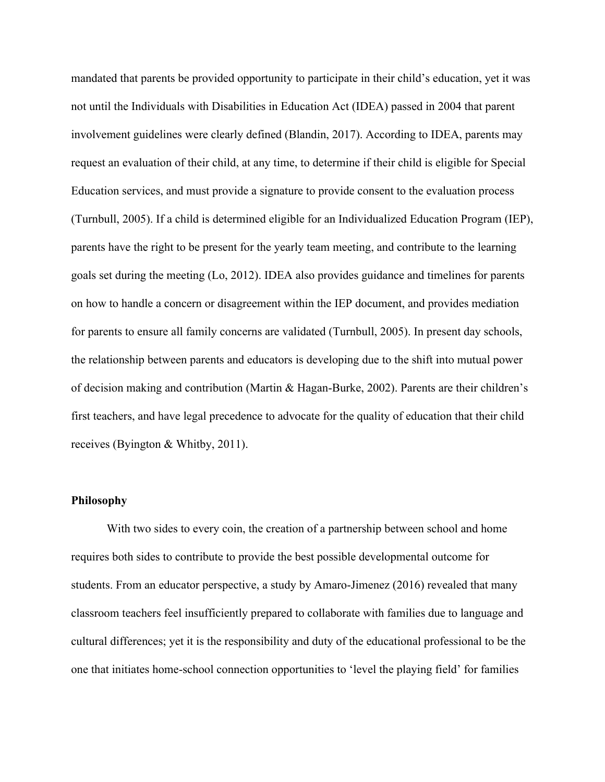mandated that parents be provided opportunity to participate in their child's education, yet it was not until the Individuals with Disabilities in Education Act (IDEA) passed in 2004 that parent involvement guidelines were clearly defined (Blandin, 2017). According to IDEA, parents may request an evaluation of their child, at any time, to determine if their child is eligible for Special Education services, and must provide a signature to provide consent to the evaluation process (Turnbull, 2005). If a child is determined eligible for an Individualized Education Program (IEP), parents have the right to be present for the yearly team meeting, and contribute to the learning goals set during the meeting (Lo, 2012). IDEA also provides guidance and timelines for parents on how to handle a concern or disagreement within the IEP document, and provides mediation for parents to ensure all family concerns are validated (Turnbull, 2005). In present day schools, the relationship between parents and educators is developing due to the shift into mutual power of decision making and contribution (Martin & Hagan-Burke, 2002). Parents are their children's first teachers, and have legal precedence to advocate for the quality of education that their child receives (Byington & Whitby, 2011).

#### **Philosophy**

With two sides to every coin, the creation of a partnership between school and home requires both sides to contribute to provide the best possible developmental outcome for students. From an educator perspective, a study by Amaro-Jimenez (2016) revealed that many classroom teachers feel insufficiently prepared to collaborate with families due to language and cultural differences; yet it is the responsibility and duty of the educational professional to be the one that initiates home-school connection opportunities to 'level the playing field' for families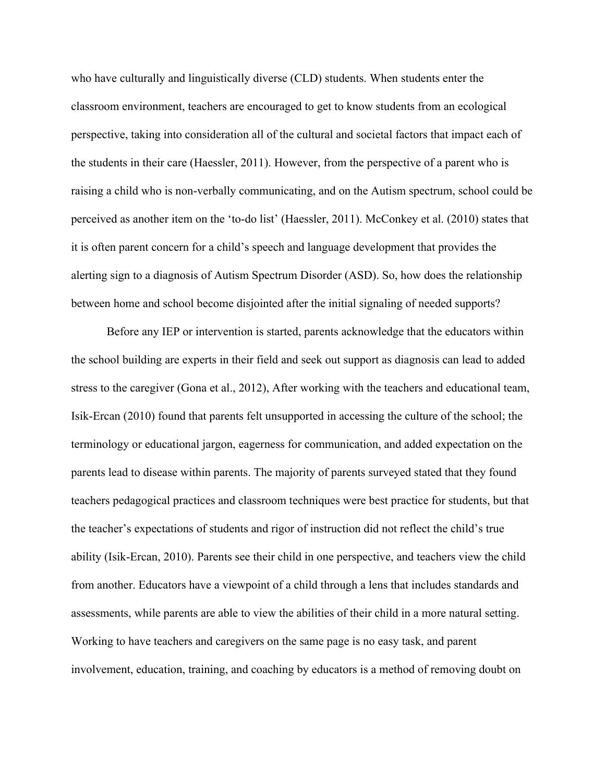who have culturally and linguistically diverse (CLD) students. When students enter the classroom environment, teachers are encouraged to get to know students from an ecological perspective, taking into consideration all of the cultural and societal factors that impact each of the students in their care (Haessler, 2011). However, from the perspective of a parent who is raising a child who is non-verbally communicating, and on the Autism spectrum, school could be perceived as another item on the 'to-do list' (Haessler, 2011). McConkey et al. (2010) states that it is often parent concern for a child's speech and language development that provides the alerting sign to a diagnosis of Autism Spectrum Disorder (ASD). So, how does the relationship between home and school become disjointed after the initial signaling of needed supports?

Before any IEP or intervention is started, parents acknowledge that the educators within the school building are experts in their field and seek out support as diagnosis can lead to added stress to the caregiver (Gona et al., 2012), After working with the teachers and educational team, Isik-Ercan (2010) found that parents felt unsupported in accessing the culture of the school; the terminology or educational jargon, eagerness for communication, and added expectation on the parents lead to disease within parents. The majority of parents surveyed stated that they found teachers pedagogical practices and classroom techniques were best practice for students, but that the teacher's expectations of students and rigor of instruction did not reflect the child's true ability (Isik-Ercan, 2010). Parents see their child in one perspective, and teachers view the child from another. Educators have a viewpoint of a child through a lens that includes standards and assessments, while parents are able to view the abilities of their child in a more natural setting. Working to have teachers and caregivers on the same page is no easy task, and parent involvement, education, training, and coaching by educators is a method of removing doubt on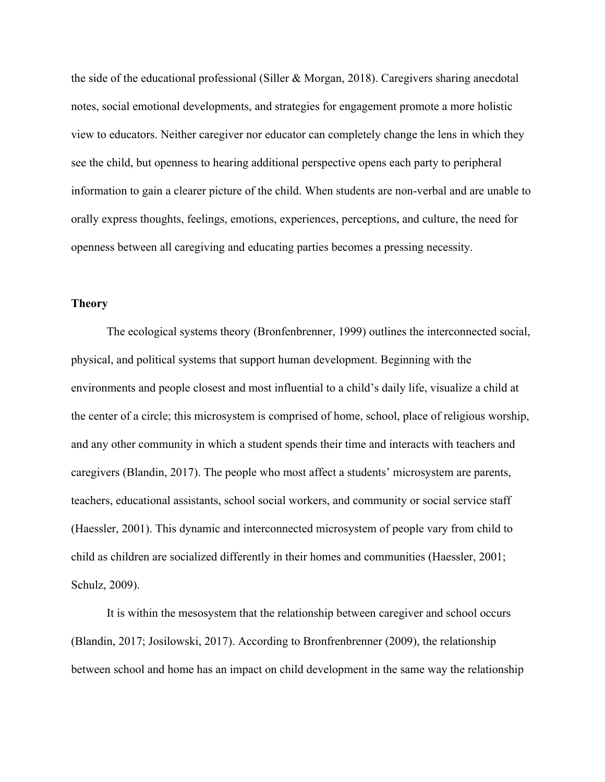the side of the educational professional (Siller & Morgan, 2018). Caregivers sharing anecdotal notes, social emotional developments, and strategies for engagement promote a more holistic view to educators. Neither caregiver nor educator can completely change the lens in which they see the child, but openness to hearing additional perspective opens each party to peripheral information to gain a clearer picture of the child. When students are non-verbal and are unable to orally express thoughts, feelings, emotions, experiences, perceptions, and culture, the need for openness between all caregiving and educating parties becomes a pressing necessity.

# **Theory**

The ecological systems theory (Bronfenbrenner, 1999) outlines the interconnected social, physical, and political systems that support human development. Beginning with the environments and people closest and most influential to a child's daily life, visualize a child at the center of a circle; this microsystem is comprised of home, school, place of religious worship, and any other community in which a student spends their time and interacts with teachers and caregivers (Blandin, 2017). The people who most affect a students' microsystem are parents, teachers, educational assistants, school social workers, and community or social service staff (Haessler, 2001). This dynamic and interconnected microsystem of people vary from child to child as children are socialized differently in their homes and communities (Haessler, 2001; Schulz, 2009).

It is within the mesosystem that the relationship between caregiver and school occurs (Blandin, 2017; Josilowski, 2017). According to Bronfrenbrenner (2009), the relationship between school and home has an impact on child development in the same way the relationship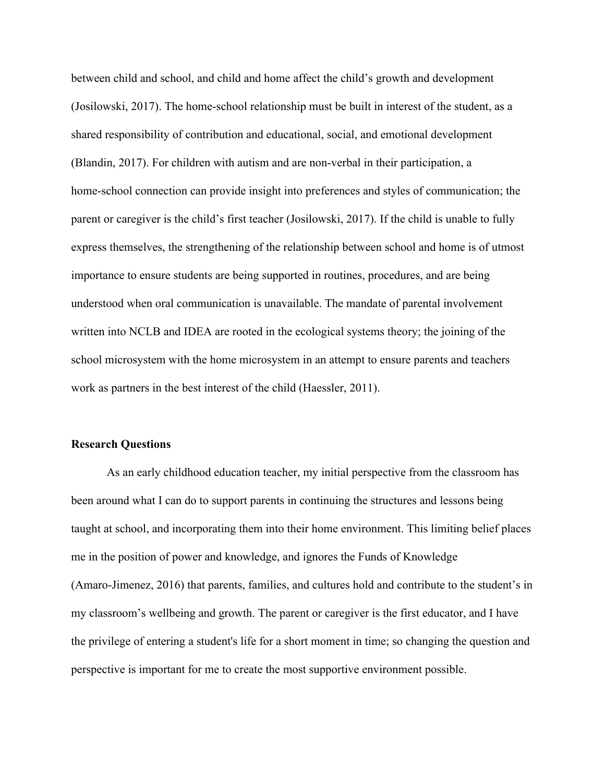between child and school, and child and home affect the child's growth and development (Josilowski, 2017). The home-school relationship must be built in interest of the student, as a shared responsibility of contribution and educational, social, and emotional development (Blandin, 2017). For children with autism and are non-verbal in their participation, a home-school connection can provide insight into preferences and styles of communication; the parent or caregiver is the child's first teacher (Josilowski, 2017). If the child is unable to fully express themselves, the strengthening of the relationship between school and home is of utmost importance to ensure students are being supported in routines, procedures, and are being understood when oral communication is unavailable. The mandate of parental involvement written into NCLB and IDEA are rooted in the ecological systems theory; the joining of the school microsystem with the home microsystem in an attempt to ensure parents and teachers work as partners in the best interest of the child (Haessler, 2011).

#### **Research Questions**

As an early childhood education teacher, my initial perspective from the classroom has been around what I can do to support parents in continuing the structures and lessons being taught at school, and incorporating them into their home environment. This limiting belief places me in the position of power and knowledge, and ignores the Funds of Knowledge (Amaro-Jimenez, 2016) that parents, families, and cultures hold and contribute to the student's in my classroom's wellbeing and growth. The parent or caregiver is the first educator, and I have the privilege of entering a student's life for a short moment in time; so changing the question and perspective is important for me to create the most supportive environment possible.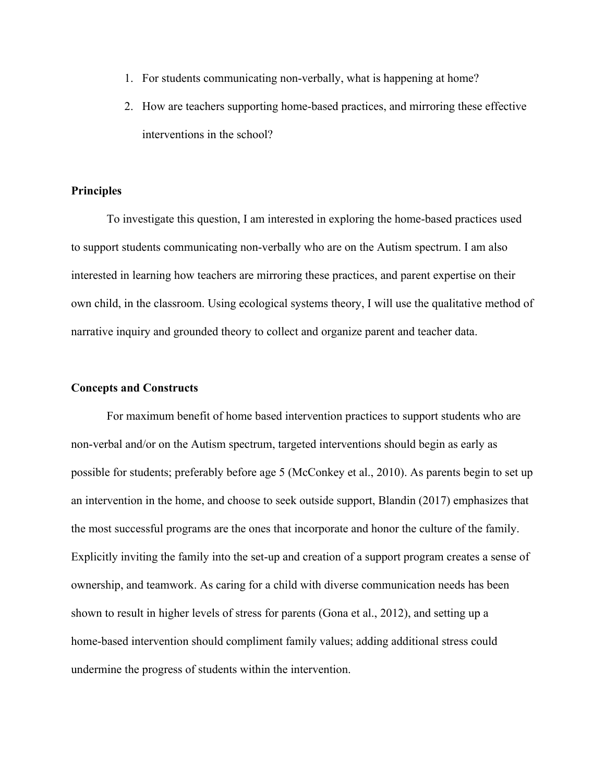- 1. For students communicating non-verbally, what is happening at home?
- 2. How are teachers supporting home-based practices, and mirroring these effective interventions in the school?

# **Principles**

To investigate this question, I am interested in exploring the home-based practices used to support students communicating non-verbally who are on the Autism spectrum. I am also interested in learning how teachers are mirroring these practices, and parent expertise on their own child, in the classroom. Using ecological systems theory, I will use the qualitative method of narrative inquiry and grounded theory to collect and organize parent and teacher data.

## **Concepts and Constructs**

For maximum benefit of home based intervention practices to support students who are non-verbal and/or on the Autism spectrum, targeted interventions should begin as early as possible for students; preferably before age 5 (McConkey et al., 2010). As parents begin to set up an intervention in the home, and choose to seek outside support, Blandin (2017) emphasizes that the most successful programs are the ones that incorporate and honor the culture of the family. Explicitly inviting the family into the set-up and creation of a support program creates a sense of ownership, and teamwork. As caring for a child with diverse communication needs has been shown to result in higher levels of stress for parents (Gona et al., 2012), and setting up a home-based intervention should compliment family values; adding additional stress could undermine the progress of students within the intervention.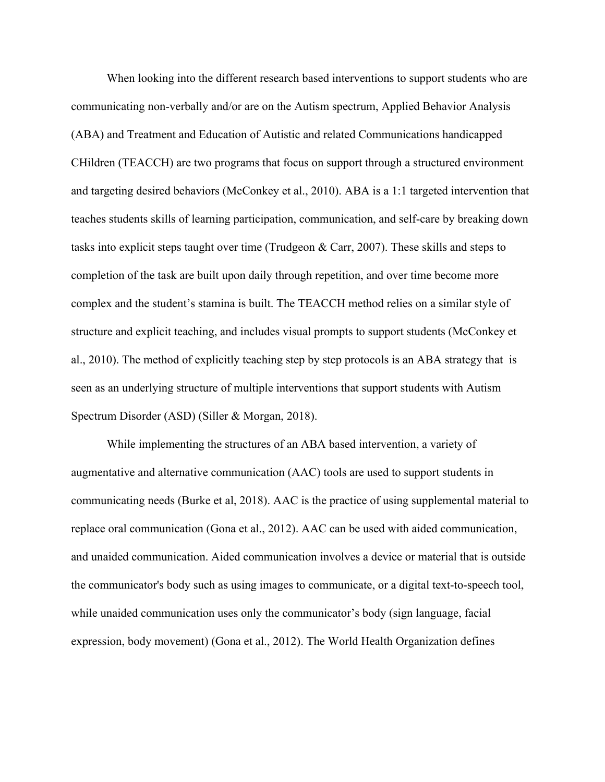When looking into the different research based interventions to support students who are communicating non-verbally and/or are on the Autism spectrum, Applied Behavior Analysis (ABA) and Treatment and Education of Autistic and related Communications handicapped CHildren (TEACCH) are two programs that focus on support through a structured environment and targeting desired behaviors (McConkey et al., 2010). ABA is a 1:1 targeted intervention that teaches students skills of learning participation, communication, and self-care by breaking down tasks into explicit steps taught over time (Trudgeon & Carr, 2007). These skills and steps to completion of the task are built upon daily through repetition, and over time become more complex and the student's stamina is built. The TEACCH method relies on a similar style of structure and explicit teaching, and includes visual prompts to support students (McConkey et al., 2010). The method of explicitly teaching step by step protocols is an ABA strategy that is seen as an underlying structure of multiple interventions that support students with Autism Spectrum Disorder (ASD) (Siller & Morgan, 2018).

While implementing the structures of an ABA based intervention, a variety of augmentative and alternative communication (AAC) tools are used to support students in communicating needs (Burke et al, 2018). AAC is the practice of using supplemental material to replace oral communication (Gona et al., 2012). AAC can be used with aided communication, and unaided communication. Aided communication involves a device or material that is outside the communicator's body such as using images to communicate, or a digital text-to-speech tool, while unaided communication uses only the communicator's body (sign language, facial expression, body movement) (Gona et al., 2012). The World Health Organization defines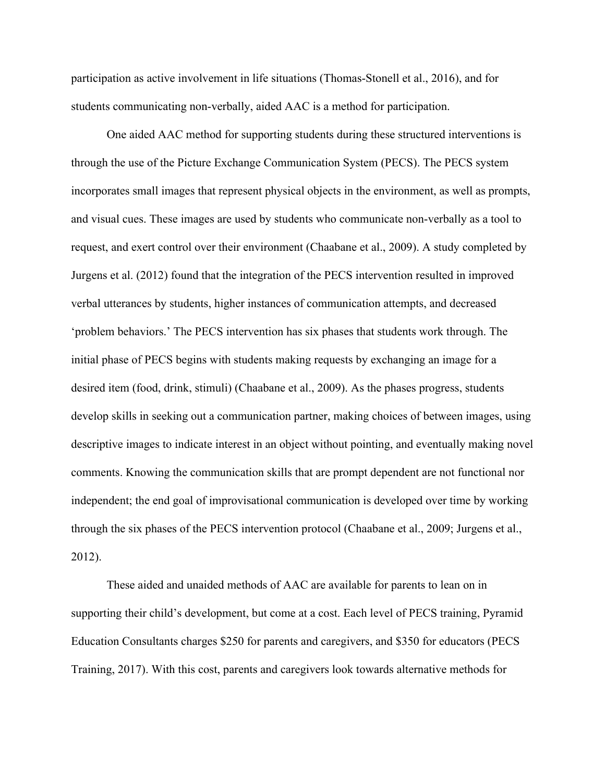participation as active involvement in life situations (Thomas-Stonell et al., 2016), and for students communicating non-verbally, aided AAC is a method for participation.

One aided AAC method for supporting students during these structured interventions is through the use of the Picture Exchange Communication System (PECS). The PECS system incorporates small images that represent physical objects in the environment, as well as prompts, and visual cues. These images are used by students who communicate non-verbally as a tool to request, and exert control over their environment (Chaabane et al., 2009). A study completed by Jurgens et al. (2012) found that the integration of the PECS intervention resulted in improved verbal utterances by students, higher instances of communication attempts, and decreased 'problem behaviors.' The PECS intervention has six phases that students work through. The initial phase of PECS begins with students making requests by exchanging an image for a desired item (food, drink, stimuli) (Chaabane et al., 2009). As the phases progress, students develop skills in seeking out a communication partner, making choices of between images, using descriptive images to indicate interest in an object without pointing, and eventually making novel comments. Knowing the communication skills that are prompt dependent are not functional nor independent; the end goal of improvisational communication is developed over time by working through the six phases of the PECS intervention protocol (Chaabane et al., 2009; Jurgens et al., 2012).

These aided and unaided methods of AAC are available for parents to lean on in supporting their child's development, but come at a cost. Each level of PECS training, Pyramid Education Consultants charges \$250 for parents and caregivers, and \$350 for educators (PECS Training, 2017). With this cost, parents and caregivers look towards alternative methods for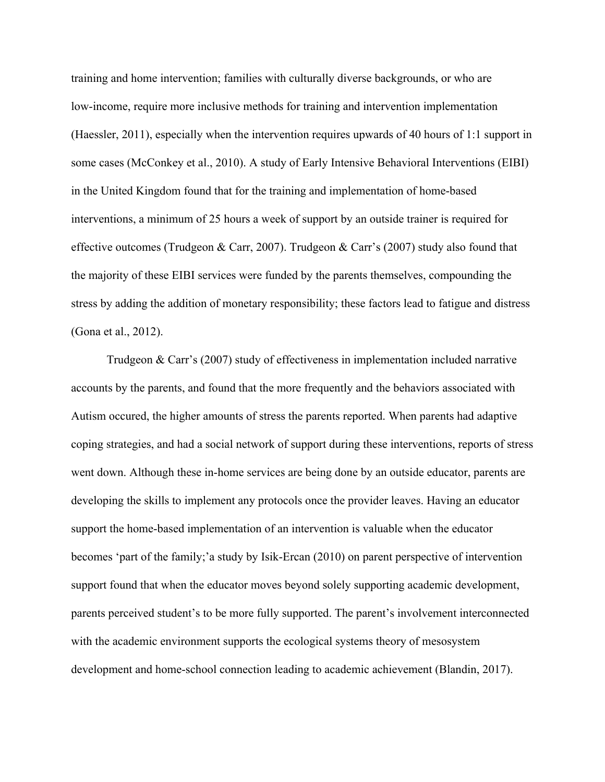training and home intervention; families with culturally diverse backgrounds, or who are low-income, require more inclusive methods for training and intervention implementation (Haessler, 2011), especially when the intervention requires upwards of 40 hours of 1:1 support in some cases (McConkey et al., 2010). A study of Early Intensive Behavioral Interventions (EIBI) in the United Kingdom found that for the training and implementation of home-based interventions, a minimum of 25 hours a week of support by an outside trainer is required for effective outcomes (Trudgeon & Carr, 2007). Trudgeon & Carr's (2007) study also found that the majority of these EIBI services were funded by the parents themselves, compounding the stress by adding the addition of monetary responsibility; these factors lead to fatigue and distress (Gona et al., 2012).

Trudgeon & Carr's (2007) study of effectiveness in implementation included narrative accounts by the parents, and found that the more frequently and the behaviors associated with Autism occured, the higher amounts of stress the parents reported. When parents had adaptive coping strategies, and had a social network of support during these interventions, reports of stress went down. Although these in-home services are being done by an outside educator, parents are developing the skills to implement any protocols once the provider leaves. Having an educator support the home-based implementation of an intervention is valuable when the educator becomes 'part of the family;'a study by Isik-Ercan (2010) on parent perspective of intervention support found that when the educator moves beyond solely supporting academic development, parents perceived student's to be more fully supported. The parent's involvement interconnected with the academic environment supports the ecological systems theory of mesosystem development and home-school connection leading to academic achievement (Blandin, 2017).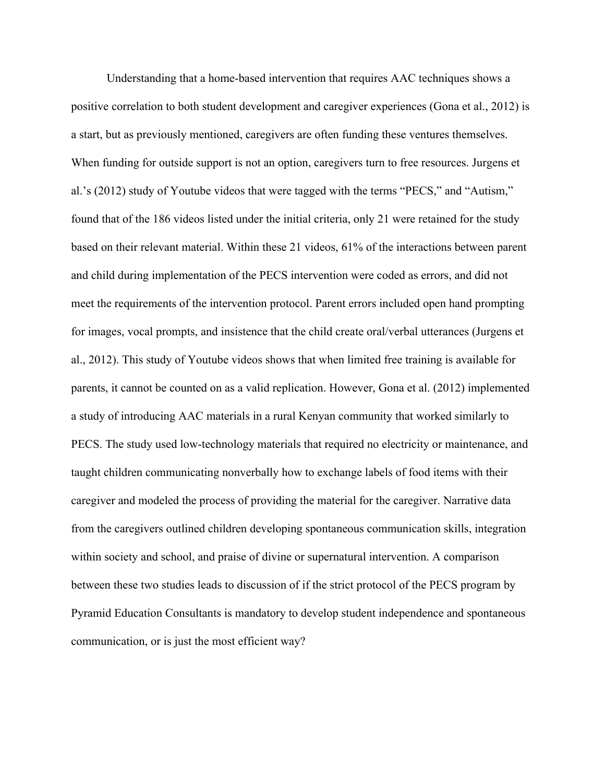Understanding that a home-based intervention that requires AAC techniques shows a positive correlation to both student development and caregiver experiences (Gona et al., 2012) is a start, but as previously mentioned, caregivers are often funding these ventures themselves. When funding for outside support is not an option, caregivers turn to free resources. Jurgens et al.'s (2012) study of Youtube videos that were tagged with the terms "PECS," and "Autism," found that of the 186 videos listed under the initial criteria, only 21 were retained for the study based on their relevant material. Within these 21 videos, 61% of the interactions between parent and child during implementation of the PECS intervention were coded as errors, and did not meet the requirements of the intervention protocol. Parent errors included open hand prompting for images, vocal prompts, and insistence that the child create oral/verbal utterances (Jurgens et al., 2012). This study of Youtube videos shows that when limited free training is available for parents, it cannot be counted on as a valid replication. However, Gona et al. (2012) implemented a study of introducing AAC materials in a rural Kenyan community that worked similarly to PECS. The study used low-technology materials that required no electricity or maintenance, and taught children communicating nonverbally how to exchange labels of food items with their caregiver and modeled the process of providing the material for the caregiver. Narrative data from the caregivers outlined children developing spontaneous communication skills, integration within society and school, and praise of divine or supernatural intervention. A comparison between these two studies leads to discussion of if the strict protocol of the PECS program by Pyramid Education Consultants is mandatory to develop student independence and spontaneous communication, or is just the most efficient way?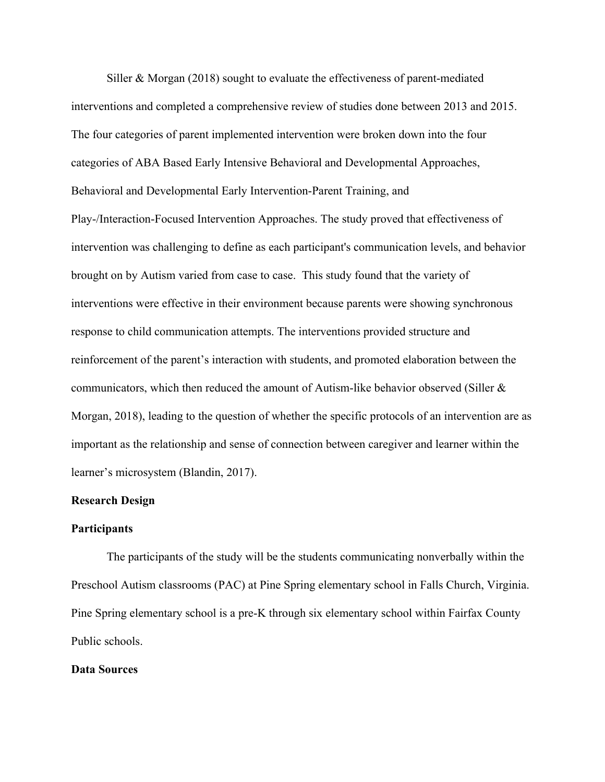Siller & Morgan (2018) sought to evaluate the effectiveness of parent-mediated interventions and completed a comprehensive review of studies done between 2013 and 2015. The four categories of parent implemented intervention were broken down into the four categories of ABA Based Early Intensive Behavioral and Developmental Approaches, Behavioral and Developmental Early Intervention-Parent Training, and Play-/Interaction-Focused Intervention Approaches. The study proved that effectiveness of intervention was challenging to define as each participant's communication levels, and behavior brought on by Autism varied from case to case. This study found that the variety of interventions were effective in their environment because parents were showing synchronous response to child communication attempts. The interventions provided structure and reinforcement of the parent's interaction with students, and promoted elaboration between the communicators, which then reduced the amount of Autism-like behavior observed (Siller  $\&$ Morgan, 2018), leading to the question of whether the specific protocols of an intervention are as important as the relationship and sense of connection between caregiver and learner within the learner's microsystem (Blandin, 2017).

#### **Research Design**

#### **Participants**

The participants of the study will be the students communicating nonverbally within the Preschool Autism classrooms (PAC) at Pine Spring elementary school in Falls Church, Virginia. Pine Spring elementary school is a pre-K through six elementary school within Fairfax County Public schools.

# **Data Sources**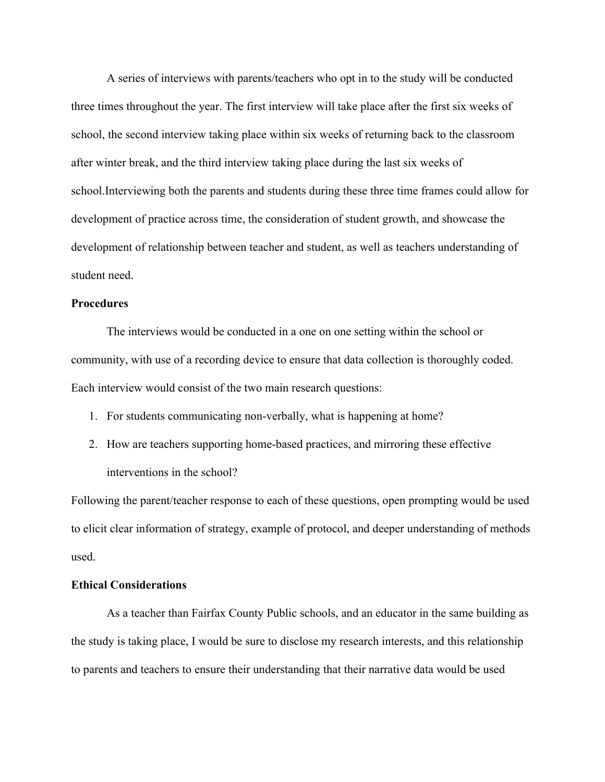A series of interviews with parents/teachers who opt in to the study will be conducted three times throughout the year. The first interview will take place after the first six weeks of school, the second interview taking place within six weeks of returning back to the classroom after winter break, and the third interview taking place during the last six weeks of school.Interviewing both the parents and students during these three time frames could allow for development of practice across time, the consideration of student growth, and showcase the development of relationship between teacher and student, as well as teachers understanding of student need.

## **Procedures**

The interviews would be conducted in a one on one setting within the school or community, with use of a recording device to ensure that data collection is thoroughly coded. Each interview would consist of the two main research questions:

- 1. For students communicating non-verbally, what is happening at home?
- 2. How are teachers supporting home-based practices, and mirroring these effective interventions in the school?

Following the parent/teacher response to each of these questions, open prompting would be used to elicit clear information of strategy, example of protocol, and deeper understanding of methods used.

## **Ethical Considerations**

As a teacher than Fairfax County Public schools, and an educator in the same building as the study is taking place, I would be sure to disclose my research interests, and this relationship to parents and teachers to ensure their understanding that their narrative data would be used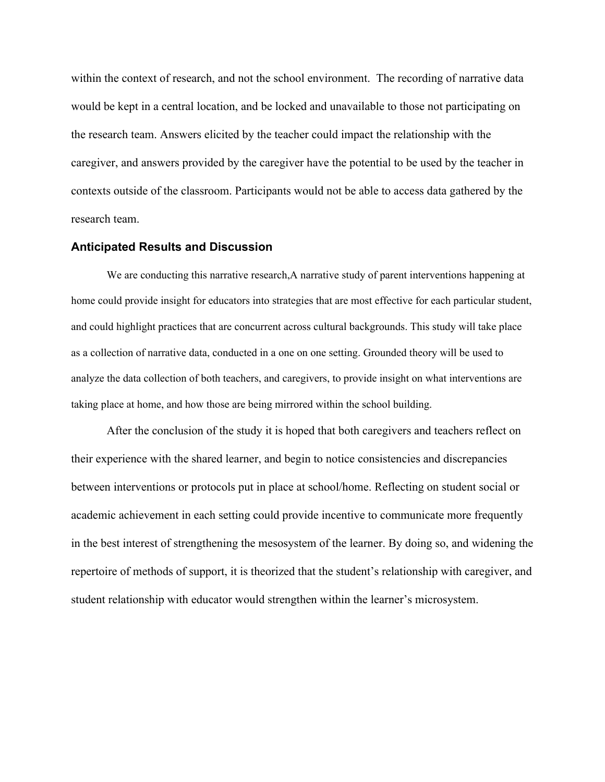within the context of research, and not the school environment. The recording of narrative data would be kept in a central location, and be locked and unavailable to those not participating on the research team. Answers elicited by the teacher could impact the relationship with the caregiver, and answers provided by the caregiver have the potential to be used by the teacher in contexts outside of the classroom. Participants would not be able to access data gathered by the research team.

#### **Anticipated Results and Discussion**

We are conducting this narrative research, A narrative study of parent interventions happening at home could provide insight for educators into strategies that are most effective for each particular student, and could highlight practices that are concurrent across cultural backgrounds. This study will take place as a collection of narrative data, conducted in a one on one setting. Grounded theory will be used to analyze the data collection of both teachers, and caregivers, to provide insight on what interventions are taking place at home, and how those are being mirrored within the school building.

After the conclusion of the study it is hoped that both caregivers and teachers reflect on their experience with the shared learner, and begin to notice consistencies and discrepancies between interventions or protocols put in place at school/home. Reflecting on student social or academic achievement in each setting could provide incentive to communicate more frequently in the best interest of strengthening the mesosystem of the learner. By doing so, and widening the repertoire of methods of support, it is theorized that the student's relationship with caregiver, and student relationship with educator would strengthen within the learner's microsystem.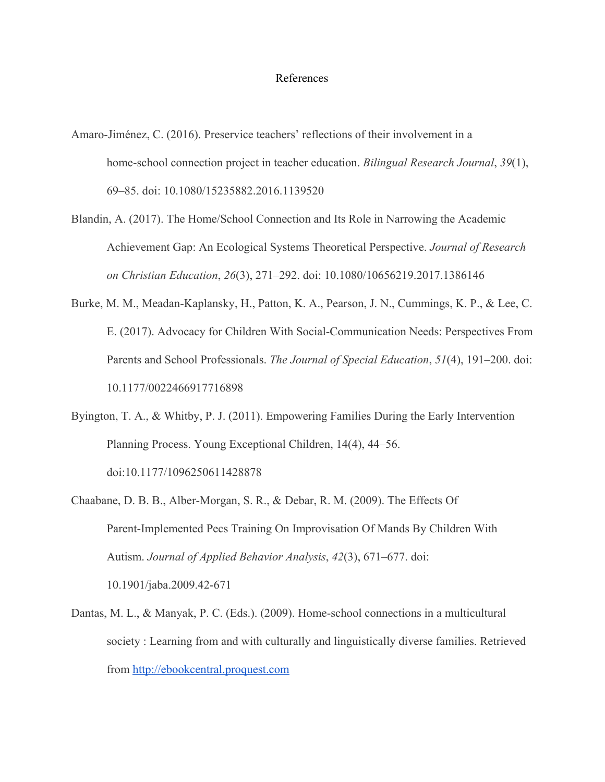#### References

- Amaro-Jiménez, C. (2016). Preservice teachers' reflections of their involvement in a home-school connection project in teacher education. *Bilingual Research Journal*, *39*(1), 69–85. doi: 10.1080/15235882.2016.1139520
- Blandin, A. (2017). The Home/School Connection and Its Role in Narrowing the Academic Achievement Gap: An Ecological Systems Theoretical Perspective. *Journal of Research on Christian Education*, *26*(3), 271–292. doi: 10.1080/10656219.2017.1386146
- Burke, M. M., Meadan-Kaplansky, H., Patton, K. A., Pearson, J. N., Cummings, K. P., & Lee, C. E. (2017). Advocacy for Children With Social-Communication Needs: Perspectives From Parents and School Professionals. *The Journal of Special Education*, *51*(4), 191–200. doi: 10.1177/0022466917716898
- Byington, T. A., & Whitby, P. J. (2011). Empowering Families During the Early Intervention Planning Process. Young Exceptional Children, 14(4), 44–56. doi:10.1177/1096250611428878
- Chaabane, D. B. B., Alber-Morgan, S. R., & Debar, R. M. (2009). The Effects Of Parent-Implemented Pecs Training On Improvisation Of Mands By Children With Autism. *Journal of Applied Behavior Analysis*, *42*(3), 671–677. doi: 10.1901/jaba.2009.42-671
- Dantas, M. L., & Manyak, P. C. (Eds.). (2009). Home-school connections in a multicultural society : Learning from and with culturally and linguistically diverse families. Retrieved from [http://ebookcentral.proquest.com](http://ebookcentral.proquest.com/)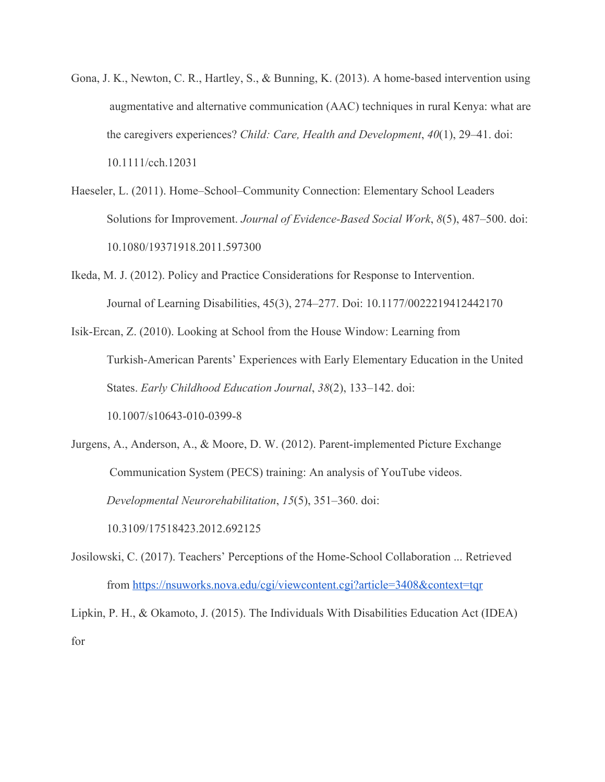- Gona, J. K., Newton, C. R., Hartley, S., & Bunning, K. (2013). A home-based intervention using augmentative and alternative communication (AAC) techniques in rural Kenya: what are the caregivers experiences? *Child: Care, Health and Development*, *40*(1), 29–41. doi: 10.1111/cch.12031
- Haeseler, L. (2011). Home–School–Community Connection: Elementary School Leaders Solutions for Improvement. *Journal of Evidence-Based Social Work*, *8*(5), 487–500. doi: 10.1080/19371918.2011.597300
- Ikeda, M. J. (2012). Policy and Practice Considerations for Response to Intervention. Journal of Learning Disabilities, 45(3), 274–277. Doi: 10.1177/0022219412442170
- Isik-Ercan, Z. (2010). Looking at School from the House Window: Learning from Turkish-American Parents' Experiences with Early Elementary Education in the United States. *Early Childhood Education Journal*, *38*(2), 133–142. doi: 10.1007/s10643-010-0399-8
- Jurgens, A., Anderson, A., & Moore, D. W. (2012). Parent-implemented Picture Exchange Communication System (PECS) training: An analysis of YouTube videos. *Developmental Neurorehabilitation*, *15*(5), 351–360. doi: 10.3109/17518423.2012.692125
- Josilowski, C. (2017). Teachers' Perceptions of the Home-School Collaboration ... Retrieved from<https://nsuworks.nova.edu/cgi/viewcontent.cgi?article=3408&context=tqr>

Lipkin, P. H., & Okamoto, J. (2015). The Individuals With Disabilities Education Act (IDEA) for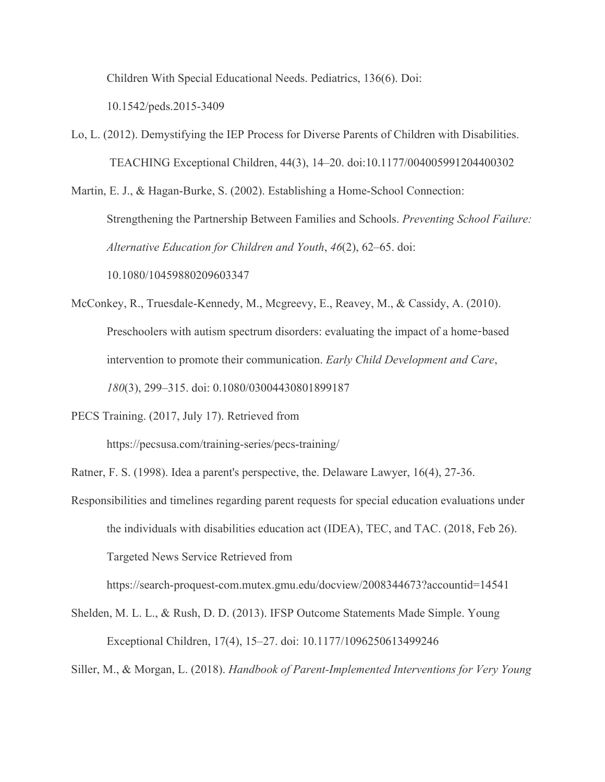Children With Special Educational Needs. Pediatrics, 136(6). Doi:

10.1542/peds.2015-3409

Lo, L. (2012). Demystifying the IEP Process for Diverse Parents of Children with Disabilities. TEACHING Exceptional Children, 44(3), 14–20. doi:10.1177/004005991204400302

Martin, E. J., & Hagan-Burke, S. (2002). Establishing a Home-School Connection: Strengthening the Partnership Between Families and Schools. *Preventing School Failure: Alternative Education for Children and Youth*, *46*(2), 62–65. doi: 10.1080/10459880209603347

McConkey, R., Truesdale-Kennedy, M., Mcgreevy, E., Reavey, M., & Cassidy, A. (2010). Preschoolers with autism spectrum disorders: evaluating the impact of a home-based intervention to promote their communication. *Early Child Development and Care*, *180*(3), 299–315. doi: 0.1080/03004430801899187

PECS Training. (2017, July 17). Retrieved from

https://pecsusa.com/training-series/pecs-training/

Ratner, F. S. (1998). Idea a parent's perspective, the. Delaware Lawyer, 16(4), 27-36.

Responsibilities and timelines regarding parent requests for special education evaluations under the individuals with disabilities education act (IDEA), TEC, and TAC. (2018, Feb 26). Targeted News Service Retrieved from

https://search-proquest-com.mutex.gmu.edu/docview/2008344673?accountid=14541

Shelden, M. L. L., & Rush, D. D. (2013). IFSP Outcome Statements Made Simple. Young Exceptional Children, 17(4), 15–27. doi: 10.1177/1096250613499246

Siller, M., & Morgan, L. (2018). *Handbook of Parent-Implemented Interventions for Very Young*